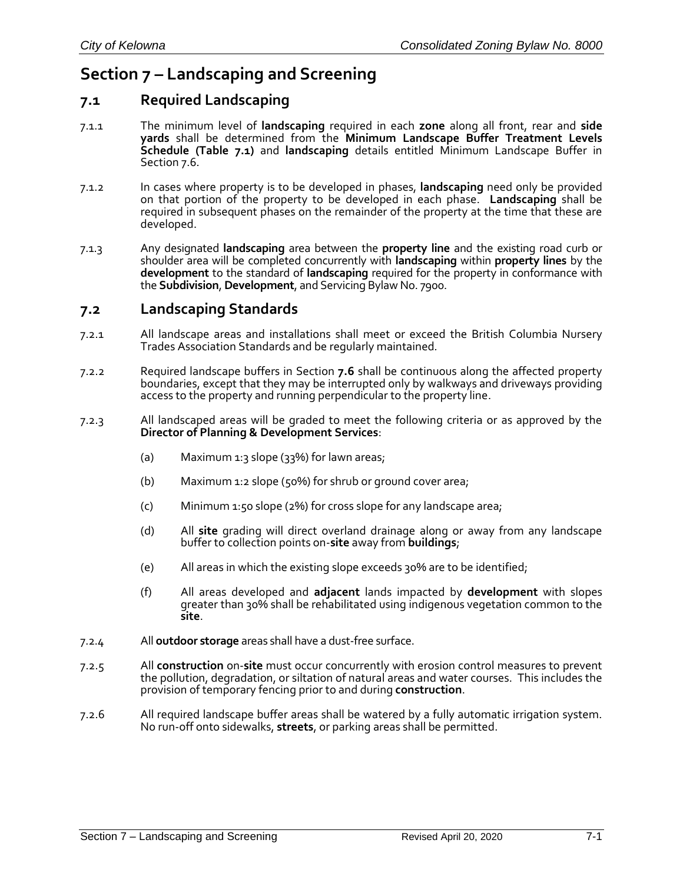# **Section 7 – Landscaping and Screening**

# **7.1 Required Landscaping**

- 7.1.1 The minimum level of **landscaping** required in each **zone** along all front, rear and **side yards** shall be determined from the **Minimum Landscape Buffer Treatment Levels Schedule (Table 7.1)** and **landscaping** details entitled Minimum Landscape Buffer in Section 7.6.
- 7.1.2 In cases where property is to be developed in phases, **landscaping** need only be provided on that portion of the property to be developed in each phase. **Landscaping** shall be required in subsequent phases on the remainder of the property at the time that these are developed.
- 7.1.3 Any designated **landscaping** area between the **property line** and the existing road curb or shoulder area will be completed concurrently with **landscaping** within **property lines** by the **development** to the standard of **landscaping** required for the property in conformance with the **Subdivision**, **Development**, and Servicing Bylaw No. 7900.

### **7.2 Landscaping Standards**

- 7.2.1 All landscape areas and installations shall meet or exceed the British Columbia Nursery Trades Association Standards and be regularly maintained*.*
- 7.2.2 Required landscape buffers in Section **7.6** shall be continuous along the affected property boundaries, except that they may be interrupted only by walkways and driveways providing access to the property and running perpendicular to the property line.
- 7.2.3 All landscaped areas will be graded to meet the following criteria or as approved by the **Director of Planning & Development Services**:
	- (a) Maximum 1:3 slope  $(33%)$  for lawn areas;
	- (b) Maximum 1:2 slope (50%) for shrub or ground cover area;
	- (c) Minimum 1:50 slope (2%) for cross slope for any landscape area;
	- (d) All **site** grading will direct overland drainage along or away from any landscape buffer to collection points on-**site** away from **buildings**;
	- (e) All areas in which the existing slope exceeds 30% are to be identified;
	- (f) All areas developed and **adjacent** lands impacted by **development** with slopes greater than 30% shall be rehabilitated using indigenous vegetation common to the **site**.
- 7.2.4 All **outdoor storage** areas shall have a dust-free surface.
- 7.2.5 All **construction** on-**site** must occur concurrently with erosion control measures to prevent the pollution, degradation, or siltation of natural areas and water courses. This includes the provision of temporary fencing prior to and during **construction**.
- 7.2.6 All required landscape buffer areas shall be watered by a fully automatic irrigation system. No run-off onto sidewalks, **streets**, or parking areas shall be permitted.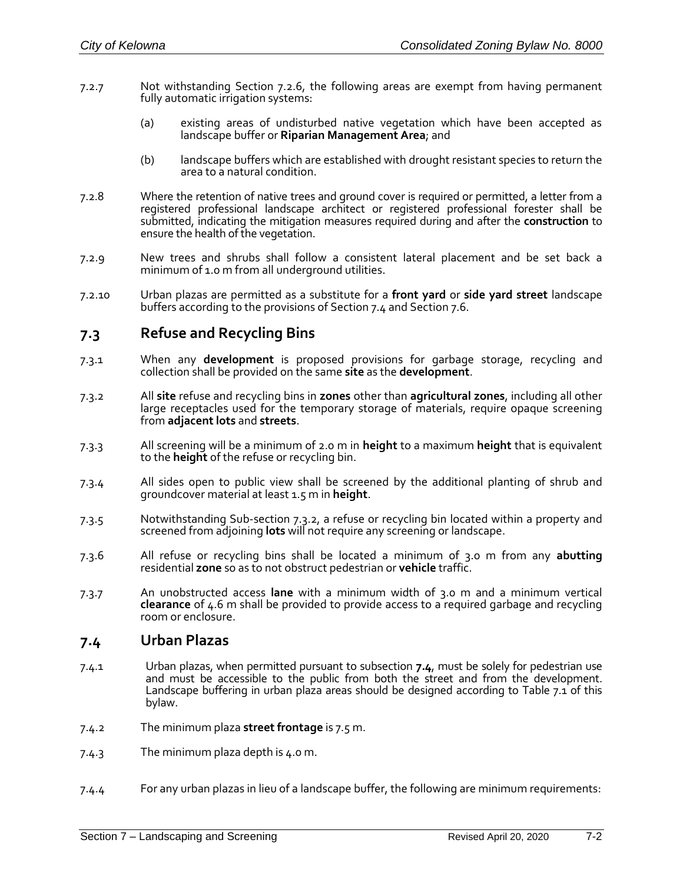- 7.2.7 Not withstanding Section 7.2.6, the following areas are exempt from having permanent fully automatic irrigation systems:
	- (a) existing areas of undisturbed native vegetation which have been accepted as landscape buffer or **Riparian Management Area**; and
	- (b) landscape buffers which are established with drought resistant species to return the area to a natural condition.
- 7.2.8 Where the retention of native trees and ground cover is required or permitted, a letter from a registered professional landscape architect or registered professional forester shall be submitted, indicating the mitigation measures required during and after the **construction** to ensure the health of the vegetation.
- 7.2.9 New trees and shrubs shall follow a consistent lateral placement and be set back a minimum of 1.0 m from all underground utilities.
- 7.2.10 Urban plazas are permitted as a substitute for a **front yard** or **side yard street** landscape buffers according to the provisions of Section 7.4 and Section 7.6.

### **7.3 Refuse and Recycling Bins**

- 7.3.1 When any **development** is proposed provisions for garbage storage, recycling and collection shall be provided on the same **site** as the **development**.
- 7.3.2 All **site** refuse and recycling bins in **zones** other than **agricultural zones**, including all other large receptacles used for the temporary storage of materials, require opaque screening from **adjacent lots** and **streets**.
- 7.3.3 All screening will be a minimum of 2.0 m in **height** to a maximum **height** that is equivalent to the **height** of the refuse or recycling bin.
- 7.3.4 All sides open to public view shall be screened by the additional planting of shrub and groundcover material at least 1.5 m in **height**.
- 7.3.5 Notwithstanding Sub-section 7.3.2, a refuse or recycling bin located within a property and screened from adjoining **lots** will not require any screening or landscape.
- 7.3.6 All refuse or recycling bins shall be located a minimum of 3.0 m from any **abutting** residential **zone** so as to not obstruct pedestrian or **vehicle** traffic.
- 7.3.7 An unobstructed access **lane** with a minimum width of 3.0 m and a minimum vertical **clearance** of 4.6 m shall be provided to provide access to a required garbage and recycling room or enclosure.

### **7.4 Urban Plazas**

- 7.4.1 Urban plazas, when permitted pursuant to subsection **7.4**, must be solely for pedestrian use and must be accessible to the public from both the street and from the development. Landscape buffering in urban plaza areas should be designed according to Table 7.1 of this bylaw.
- 7.4.2 The minimum plaza **street frontage** is 7.5 m.
- 7.4.3 The minimum plaza depth is 4.0 m.
- 7.4.4 For any urban plazas in lieu of a landscape buffer, the following are minimum requirements: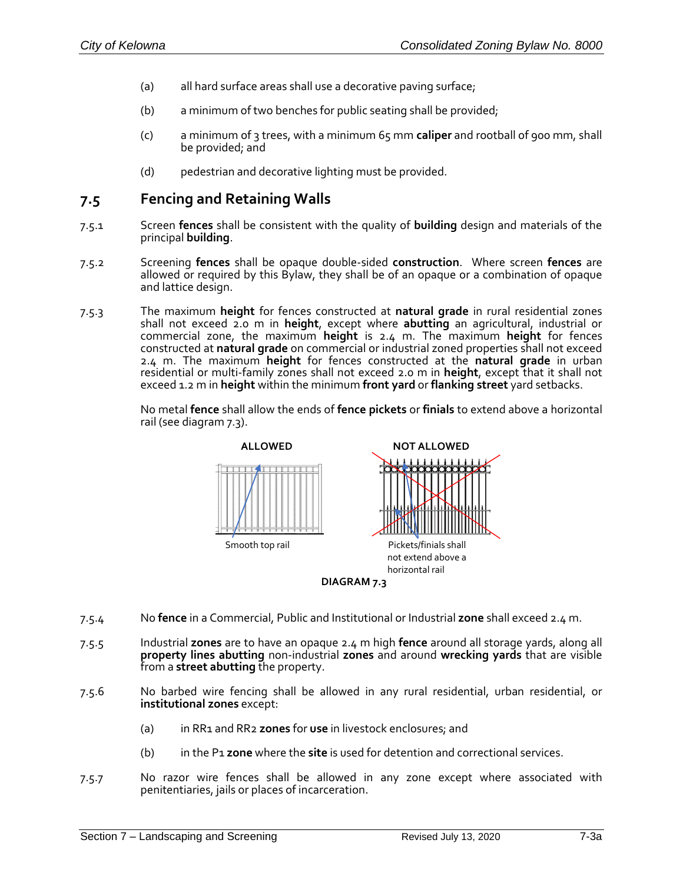- (a) all hard surface areas shall use a decorative paving surface;
- (b) a minimum of two benches for public seating shall be provided;
- (c) a minimum of 3 trees, with a minimum 65 mm **caliper** and rootball of 900 mm, shall be provided; and
- (d) pedestrian and decorative lighting must be provided.

### **7.5 Fencing and Retaining Walls**

- 7.5.1 Screen **fences** shall be consistent with the quality of **building** design and materials of the principal **building**.
- 7.5.2 Screening **fences** shall be opaque double-sided **construction**. Where screen **fences** are allowed or required by this Bylaw, they shall be of an opaque or a combination of opaque and lattice design.
- 7.5.3 The maximum **height** for fences constructed at **natural grade** in rural residential zones shall not exceed 2.0 m in **height**, except where **abutting** an agricultural, industrial or commercial zone, the maximum **height** is 2.4 m. The maximum **height** for fences constructed at **natural grade** on commercial or industrial zoned properties shall not exceed 2.4 m. The maximum **height** for fences constructed at the **natural grade** in urban residential or multi-family zones shall not exceed 2.0 m in **height**, except that it shall not exceed 1.2 m in **height** within the minimum **front yard** or **flanking street** yard setbacks.

No metal **fence** shall allow the ends of **fence pickets** or **finials** to extend above a horizontal rail (see diagram 7.3).



- 7.5.4 No **fence** in a Commercial, Public and Institutional or Industrial **zone** shall exceed 2.4 m.
- 7.5.5 Industrial **zones** are to have an opaque 2.4 m high **fence** around all storage yards, along all **property lines abutting** non-industrial **zones** and around **wrecking yards** that are visible from a **street abutting** the property.
- 7.5.6 No barbed wire fencing shall be allowed in any rural residential, urban residential, or **institutional zones** except:
	- (a) in RR1 and RR2 **zones** for **use** in livestock enclosures; and
	- (b) in the P1 **zone** where the **site** is used for detention and correctional services.
- 7.5.7 No razor wire fences shall be allowed in any zone except where associated with penitentiaries, jails or places of incarceration.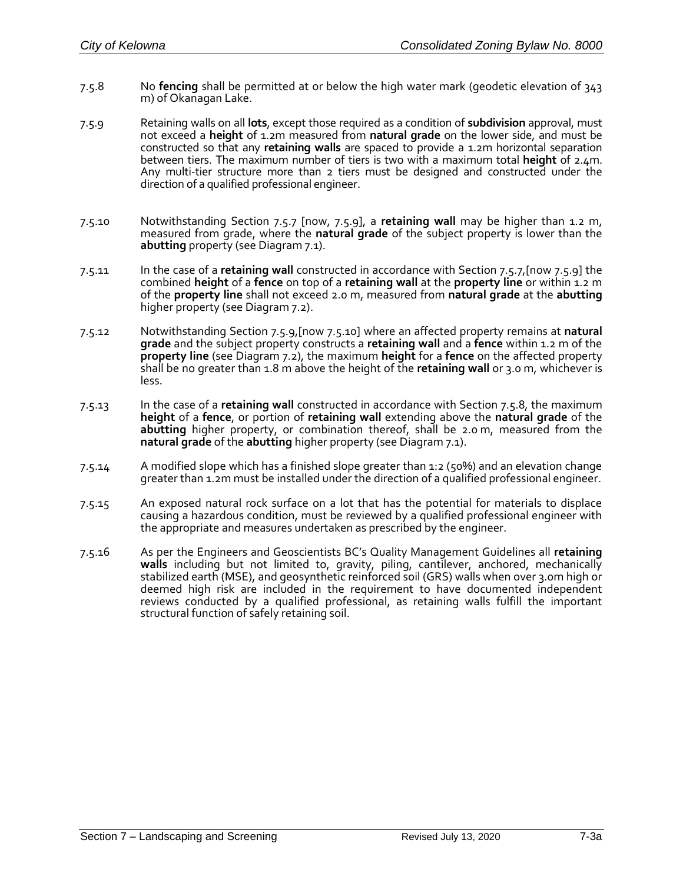- 7.5.8 No **fencing** shall be permitted at or below the high water mark (geodetic elevation of 343 m) of Okanagan Lake.
- 7.5.9 Retaining walls on all **lots**, except those required as a condition of **subdivision** approval, must not exceed a **height** of 1.2m measured from **natural grade** on the lower side, and must be constructed so that any **retaining walls** are spaced to provide a 1.2m horizontal separation between tiers. The maximum number of tiers is two with a maximum total **height** of 2.4m. Any multi-tier structure more than 2 tiers must be designed and constructed under the direction of a qualified professional engineer.
- 7.5.10 Notwithstanding Section 7.5.7 [now, 7.5.9], a **retaining wall** may be higher than 1.2 m, measured from grade, where the **natural grade** of the subject property is lower than the **abutting** property (see Diagram 7.1).
- 7.5.11 In the case of a **retaining wall** constructed in accordance with Section 7.5.7,[now 7.5.9] the combined **height** of a **fence** on top of a **retaining wall** at the **property line** or within 1.2 m of the **property line** shall not exceed 2.0 m, measured from **natural grade** at the **abutting** higher property (see Diagram 7.2).
- 7.5.12 Notwithstanding Section 7.5.9,[now 7.5.10] where an affected property remains at **natural grade** and the subject property constructs a **retaining wall** and a **fence** within 1.2 m of the **property line** (see Diagram 7.2), the maximum **height** for a **fence** on the affected property shall be no greater than 1.8 m above the height of the **retaining wall** or 3.0 m, whichever is less.
- 7.5.13 In the case of a **retaining wall** constructed in accordance with Section 7.5.8, the maximum **height** of a **fence**, or portion of **retaining wall** extending above the **natural grade** of the **abutting** higher property, or combination thereof, shall be 2.0 m, measured from the **natural grade** of the **abutting** higher property (see Diagram 7.1).
- 7.5.14 A modified slope which has a finished slope greater than 1:2 (50%) and an elevation change greater than 1.2m must be installed under the direction of a qualified professional engineer.
- 7.5.15 An exposed natural rock surface on a lot that has the potential for materials to displace causing a hazardous condition, must be reviewed by a qualified professional engineer with the appropriate and measures undertaken as prescribed by the engineer.
- 7.5.16 As per the Engineers and Geoscientists BC's Quality Management Guidelines all **retaining walls** including but not limited to, gravity, piling, cantilever, anchored, mechanically stabilized earth (MSE), and geosynthetic reinforced soil (GRS) walls when over 3.0m high or deemed high risk are included in the requirement to have documented independent reviews conducted by a qualified professional, as retaining walls fulfill the important structural function of safely retaining soil.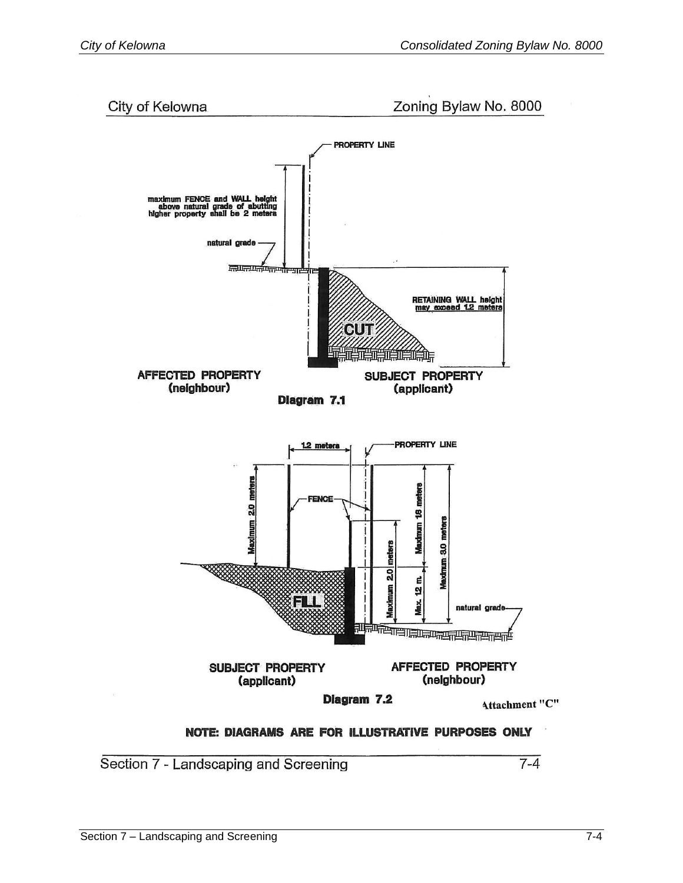City of Kelowna

Zoning Bylaw No. 8000



Section 7 - Landscaping and Screening

 $7 - 4$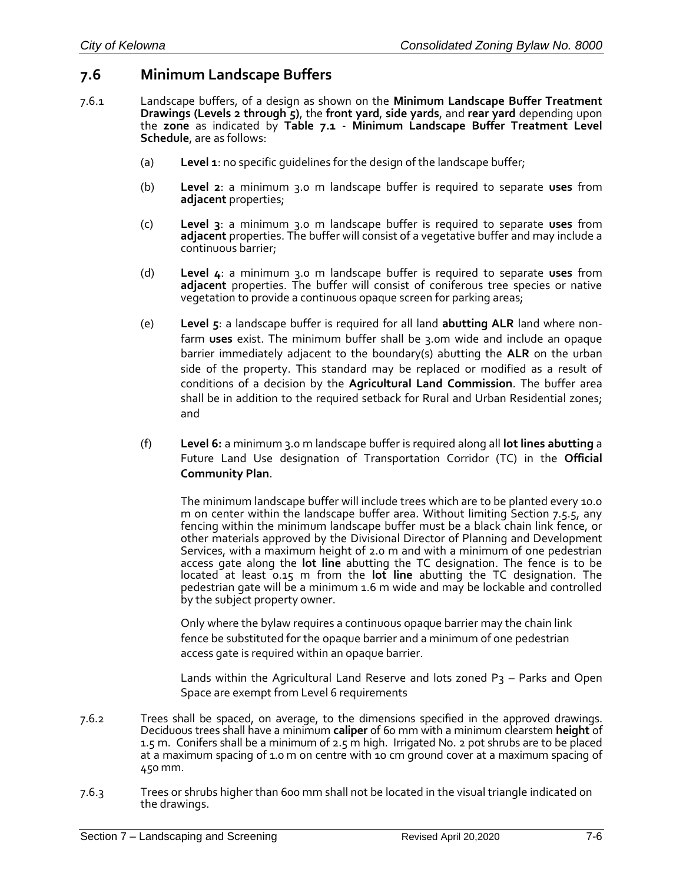## **7.6 Minimum Landscape Buffers**

- 7.6.1 Landscape buffers, of a design as shown on the **Minimum Landscape Buffer Treatment Drawings (Levels 2 through 5)**, the **front yard**, **side yards**, and **rear yard** depending upon the **zone** as indicated by **Table 7.1 - Minimum Landscape Buffer Treatment Level Schedule**, are as follows:
	- (a) **Level 1**: no specific guidelines for the design of the landscape buffer;
	- (b) **Level 2**: a minimum 3.0 m landscape buffer is required to separate **uses** from **adjacent** properties;
	- (c) **Level 3**: a minimum 3.0 m landscape buffer is required to separate **uses** from **adjacent** properties. The buffer will consist of a vegetative buffer and may include a continuous barrier;
	- (d) **Level 4**: a minimum 3.0 m landscape buffer is required to separate **uses** from **adjacent** properties. The buffer will consist of coniferous tree species or native vegetation to provide a continuous opaque screen for parking areas;
	- (e) **Level 5**: a landscape buffer is required for all land **abutting ALR** land where nonfarm **uses** exist. The minimum buffer shall be 3.0m wide and include an opaque barrier immediately adjacent to the boundary(s) abutting the **ALR** on the urban side of the property. This standard may be replaced or modified as a result of conditions of a decision by the **Agricultural Land Commission**. The buffer area shall be in addition to the required setback for Rural and Urban Residential zones; and
	- (f) **Level 6:** a minimum 3.0 m landscape buffer is required along all **lot lines abutting** a Future Land Use designation of Transportation Corridor (TC) in the **Official Community Plan**.

The minimum landscape buffer will include trees which are to be planted every 10.0 m on center within the landscape buffer area. Without limiting Section 7.5.5, any fencing within the minimum landscape buffer must be a black chain link fence, or other materials approved by the Divisional Director of Planning and Development Services, with a maximum height of 2.0 m and with a minimum of one pedestrian access gate along the **lot line** abutting the TC designation. The fence is to be located at least 0.15 m from the **lot line** abutting the TC designation. The pedestrian gate will be a minimum 1.6 m wide and may be lockable and controlled by the subject property owner.

Only where the bylaw requires a continuous opaque barrier may the chain link fence be substituted for the opaque barrier and a minimum of one pedestrian access gate is required within an opaque barrier.

Lands within the Agricultural Land Reserve and lots zoned  $P_3$  – Parks and Open Space are exempt from Level 6 requirements

- 7.6.2 Trees shall be spaced, on average, to the dimensions specified in the approved drawings. Deciduous trees shall have a minimum **caliper** of 60 mm with a minimum clearstem **height** of 1.5 m. Conifers shall be a minimum of 2.5 m high. Irrigated No. 2 pot shrubs are to be placed at a maximum spacing of 1.0 m on centre with 10 cm ground cover at a maximum spacing of 450 mm.
- 7.6.3 Trees or shrubs higher than 600 mm shall not be located in the visual triangle indicated on the drawings.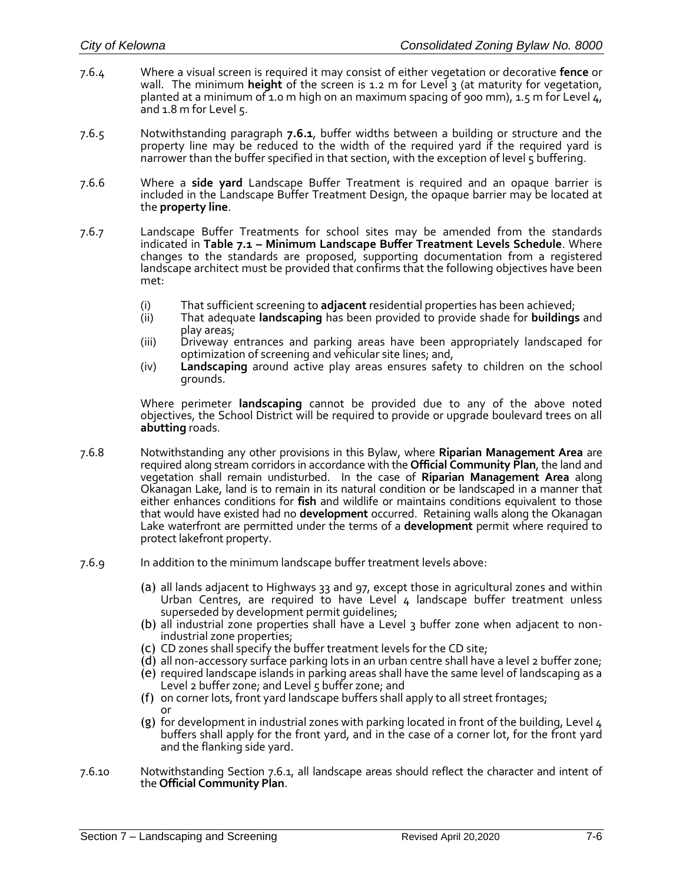- 7.6.4 Where a visual screen is required it may consist of either vegetation or decorative **fence** or wall. The minimum **height** of the screen is 1.2 m for Level 3 (at maturity for vegetation, planted at a minimum of 1.0 m high on an maximum spacing of 900 mm), 1.5 m for Level  $4$ , and 1.8 m for Level 5.
- 7.6.5 Notwithstanding paragraph **7.6.1**, buffer widths between a building or structure and the property line may be reduced to the width of the required yard if the required yard is narrower than the buffer specified in that section, with the exception of level 5 buffering.
- 7.6.6 Where a **side yard** Landscape Buffer Treatment is required and an opaque barrier is included in the Landscape Buffer Treatment Design, the opaque barrier may be located at the **property line**.
- 7.6.7 Landscape Buffer Treatments for school sites may be amended from the standards indicated in **Table 7.1 – Minimum Landscape Buffer Treatment Levels Schedule**. Where changes to the standards are proposed, supporting documentation from a registered landscape architect must be provided that confirms that the following objectives have been met:
	- (i) That sufficient screening to **adjacent** residential properties has been achieved;
	- (ii) That adequate **landscaping** has been provided to provide shade for **buildings** and play areas;
	- (iii) Driveway entrances and parking areas have been appropriately landscaped for optimization of screening and vehicular site lines; and,
	- (iv) **Landscaping** around active play areas ensures safety to children on the school grounds.

Where perimeter **landscaping** cannot be provided due to any of the above noted objectives, the School District will be required to provide or upgrade boulevard trees on all **abutting** roads.

- 7.6.8 Notwithstanding any other provisions in this Bylaw, where **Riparian Management Area** are required along stream corridors in accordance with the **Official Community Plan**, the land and vegetation shall remain undisturbed. In the case of **Riparian Management Area** along Okanagan Lake, land is to remain in its natural condition or be landscaped in a manner that either enhances conditions for **fish** and wildlife or maintains conditions equivalent to those that would have existed had no **development** occurred. Retaining walls along the Okanagan Lake waterfront are permitted under the terms of a **development** permit where required to protect lakefront property.
- 7.6.9 In addition to the minimum landscape buffer treatment levels above:
	- (a) all lands adjacent to Highways 33 and 97, except those in agricultural zones and within Urban Centres, are required to have Level  $4$  landscape buffer treatment unless superseded by development permit guidelines;
	- (b) all industrial zone properties shall have a Level 3 buffer zone when adjacent to nonindustrial zone properties;
	- (c) CD zones shall specify the buffer treatment levels for the CD site;
	- (d) all non-accessory surface parking lots in an urban centre shall have a level 2 buffer zone;
	- (e) required landscape islands in parking areas shall have the same level of landscaping as a Level 2 buffer zone; and Level 5 buffer zone; and
	- (f) on corner lots, front yard landscape buffers shall apply to all street frontages; or
	- (g) for development in industrial zones with parking located in front of the building, Level 4 buffers shall apply for the front yard, and in the case of a corner lot, for the front yard and the flanking side yard.
- 7.6.10 Notwithstanding Section 7.6.1, all landscape areas should reflect the character and intent of the **Official Community Plan**.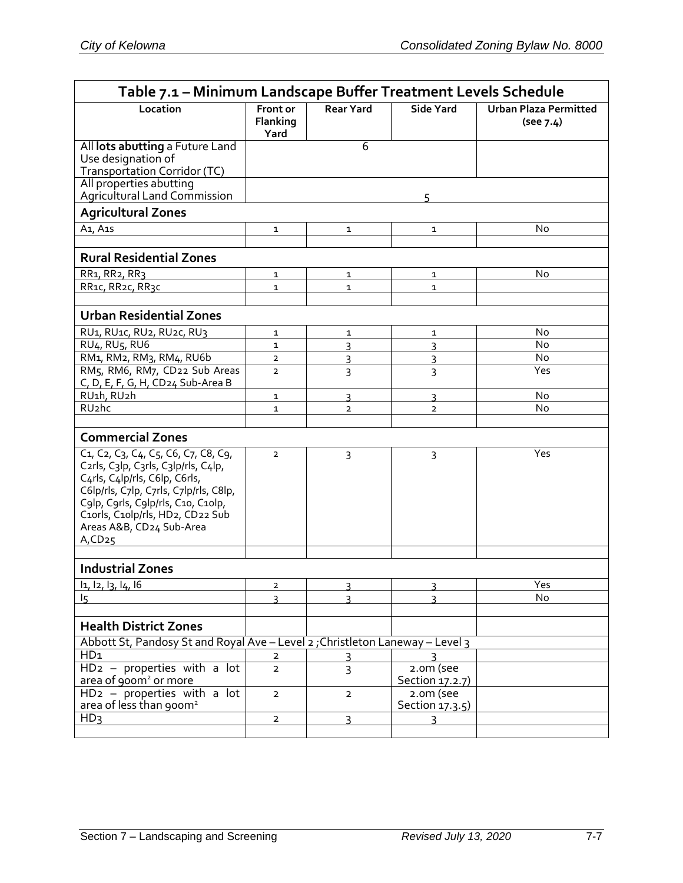| Table 7.1 - Minimum Landscape Buffer Treatment Levels Schedule                                                                                                                                                                                                                                                                                                                   |                              |                  |                                |                                           |  |  |  |
|----------------------------------------------------------------------------------------------------------------------------------------------------------------------------------------------------------------------------------------------------------------------------------------------------------------------------------------------------------------------------------|------------------------------|------------------|--------------------------------|-------------------------------------------|--|--|--|
| Location                                                                                                                                                                                                                                                                                                                                                                         | Front or<br>Flanking<br>Yard | <b>Rear Yard</b> | <b>Side Yard</b>               | <b>Urban Plaza Permitted</b><br>(see 7.4) |  |  |  |
| All lots abutting a Future Land<br>Use designation of<br>Transportation Corridor (TC)                                                                                                                                                                                                                                                                                            |                              | 6                |                                |                                           |  |  |  |
| All properties abutting<br>Agricultural Land Commission                                                                                                                                                                                                                                                                                                                          |                              |                  | 5                              |                                           |  |  |  |
| <b>Agricultural Zones</b>                                                                                                                                                                                                                                                                                                                                                        |                              |                  |                                |                                           |  |  |  |
| A <sub>1</sub> , A <sub>15</sub>                                                                                                                                                                                                                                                                                                                                                 | 1                            | 1                | 1                              | No                                        |  |  |  |
| <b>Rural Residential Zones</b>                                                                                                                                                                                                                                                                                                                                                   |                              |                  |                                |                                           |  |  |  |
| RR1, RR2, RR3                                                                                                                                                                                                                                                                                                                                                                    | 1                            | 1                | 1                              | No                                        |  |  |  |
| RR1c, RR2c, RR3c                                                                                                                                                                                                                                                                                                                                                                 | $\mathbf{1}$                 | $\mathbf 1$      | $\mathbf{1}$                   |                                           |  |  |  |
|                                                                                                                                                                                                                                                                                                                                                                                  |                              |                  |                                |                                           |  |  |  |
| <b>Urban Residential Zones</b>                                                                                                                                                                                                                                                                                                                                                   |                              |                  |                                |                                           |  |  |  |
| RU <sub>1</sub> , RU <sub>1</sub> c, RU <sub>2</sub> , RU <sub>2</sub> c, RU <sub>3</sub>                                                                                                                                                                                                                                                                                        | 1                            | 1                | 1                              | No                                        |  |  |  |
| <b>RU<sub>4</sub>, RU<sub>5</sub>, RU<sub>6</sub></b>                                                                                                                                                                                                                                                                                                                            | $\mathbf{1}$                 | $\overline{3}$   | 3                              | <b>No</b>                                 |  |  |  |
| RM1, RM2, RM3, RM4, RU6b                                                                                                                                                                                                                                                                                                                                                         | $\overline{2}$               | 3                | 3                              | <b>No</b>                                 |  |  |  |
| RM5, RM6, RM7, CD22 Sub Areas<br>C, D, E, F, G, H, CD24 Sub-Area B                                                                                                                                                                                                                                                                                                               | $\overline{2}$               | 3                | 3                              | Yes                                       |  |  |  |
| RU1h, RU2h                                                                                                                                                                                                                                                                                                                                                                       | 1                            | 3                | 3                              | No                                        |  |  |  |
| RU <sub>2</sub> hc                                                                                                                                                                                                                                                                                                                                                               | $\mathbf{1}$                 | $\overline{2}$   | $\overline{2}$                 | No                                        |  |  |  |
|                                                                                                                                                                                                                                                                                                                                                                                  |                              |                  |                                |                                           |  |  |  |
| <b>Commercial Zones</b>                                                                                                                                                                                                                                                                                                                                                          |                              |                  |                                |                                           |  |  |  |
| C <sub>1</sub> , C <sub>2</sub> , C <sub>3</sub> , C <sub>4</sub> , C <sub>5</sub> , C6, C <sub>7</sub> , C8, C <sub>9</sub> ,<br>C2rls, C3lp, C3rls, C3lp/rls, C4lp,<br>C4rls, C4lp/rls, C6lp, C6rls,<br>C6lp/rls, C7lp, C7rls, C7lp/rls, C8lp,<br>C9lp, C9rls, C9lp/rls, C10, C10lp,<br>C10rls, C10lp/rls, HD2, CD22 Sub<br>Areas A&B, CD24 Sub-Area<br>$A$ , CD <sub>25</sub> | $\overline{2}$               | 3                | 3                              | Yes                                       |  |  |  |
| <b>Industrial Zones</b>                                                                                                                                                                                                                                                                                                                                                          |                              |                  |                                |                                           |  |  |  |
| 11, 12, 13, 14, 16                                                                                                                                                                                                                                                                                                                                                               | 2                            | ξ                | 3                              | Yes                                       |  |  |  |
| 15                                                                                                                                                                                                                                                                                                                                                                               | ξ                            | ς                | $\overline{\mathbf{z}}$        | No                                        |  |  |  |
|                                                                                                                                                                                                                                                                                                                                                                                  |                              |                  |                                |                                           |  |  |  |
| <b>Health District Zones</b>                                                                                                                                                                                                                                                                                                                                                     |                              |                  |                                |                                           |  |  |  |
| Abbott St, Pandosy St and Royal Ave - Level 2; Christleton Laneway - Level 3                                                                                                                                                                                                                                                                                                     |                              |                  |                                |                                           |  |  |  |
| HD <sub>1</sub>                                                                                                                                                                                                                                                                                                                                                                  | 2                            |                  |                                |                                           |  |  |  |
| $HD2 - properties with a lot$<br>area of 900m <sup>2</sup> or more                                                                                                                                                                                                                                                                                                               | $\overline{2}$               | 3                | $2.0m$ (see<br>Section 17.2.7) |                                           |  |  |  |
| $HD2 - properties with a lot$<br>area of less than 900m <sup>2</sup>                                                                                                                                                                                                                                                                                                             | $\overline{2}$               | $\overline{2}$   | 2.0m (see<br>Section 17.3.5)   |                                           |  |  |  |
| HD <sub>3</sub>                                                                                                                                                                                                                                                                                                                                                                  | 2                            | 3                | 3                              |                                           |  |  |  |
|                                                                                                                                                                                                                                                                                                                                                                                  |                              |                  |                                |                                           |  |  |  |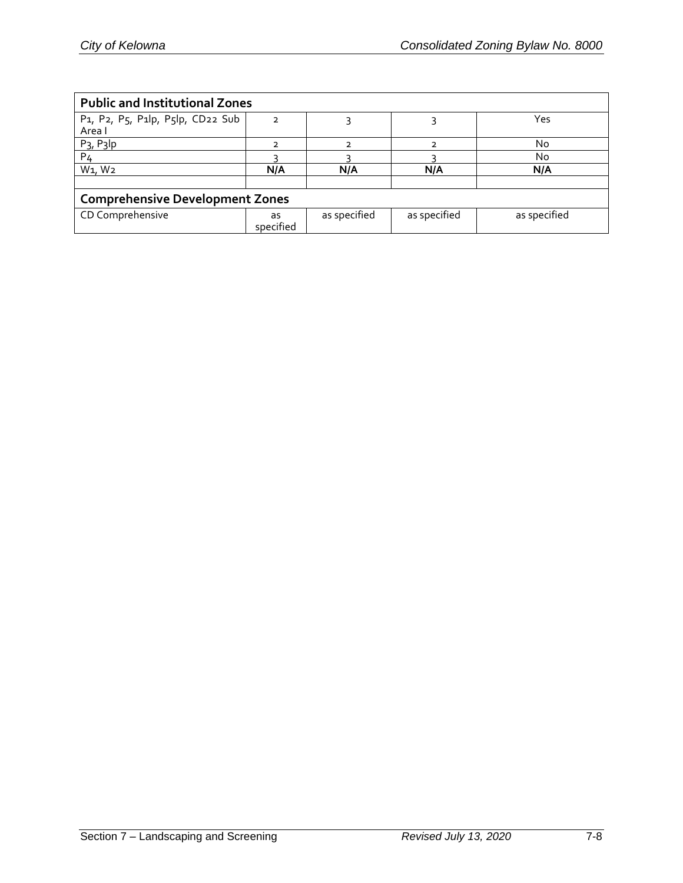| <b>Public and Institutional Zones</b>  |               |                |              |              |  |  |  |
|----------------------------------------|---------------|----------------|--------------|--------------|--|--|--|
| P1, P2, P5, P1lp, P5lp, CD22 Sub       |               |                |              | Yes.         |  |  |  |
| Area I                                 |               |                |              |              |  |  |  |
| $P_3$ , $P_3$ lp                       | $\mathcal{P}$ | $\overline{2}$ | っ            | No           |  |  |  |
| P <sub>4</sub>                         |               |                |              | No           |  |  |  |
| W <sub>1</sub> , W <sub>2</sub>        | N/A           | N/A            | N/A          | N/A          |  |  |  |
|                                        |               |                |              |              |  |  |  |
| <b>Comprehensive Development Zones</b> |               |                |              |              |  |  |  |
| CD Comprehensive                       | as            | as specified   | as specified | as specified |  |  |  |
|                                        | specified     |                |              |              |  |  |  |